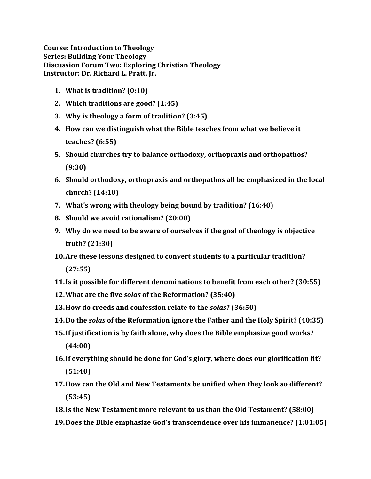**Course: Introduction to Theology Series: Building Your Theology Discussion Forum Two: Exploring Christian Theology Instructor: Dr. Richard L. Pratt, Jr.**

- **1. What is tradition? (0:10)**
- **2. Which traditions are good? (1:45)**
- **3. Why is theology a form of tradition? (3:45)**
- **4. How can we distinguish what the Bible teaches from what we believe it teaches? (6:55)**
- **5. Should churches try to balance orthodoxy, orthopraxis and orthopathos? (9:30)**
- **6. Should orthodoxy, orthopraxis and orthopathos all be emphasized in the local church? (14:10)**
- **7. What's wrong with theology being bound by tradition? (16:40)**
- **8. Should we avoid rationalism? (20:00)**
- **9. Why do we need to be aware of ourselves if the goal of theology is objective truth? (21:30)**
- **10.Are these lessons designed to convert students to a particular tradition? (27:55)**
- **11.Is it possible for different denominations to benefit from each other? (30:55)**
- **12.What are the five** *solas* **of the Reformation? (35:40)**
- **13.How do creeds and confession relate to the** *solas***? (36:50)**
- **14.Do the** *solas* **of the Reformation ignore the Father and the Holy Spirit? (40:35)**
- **15.If justification is by faith alone, why does the Bible emphasize good works? (44:00)**
- **16.If everything should be done for God's glory, where does our glorification fit? (51:40)**
- **17.How can the Old and New Testaments be unified when they look so different? (53:45)**
- **18.Is the New Testament more relevant to us than the Old Testament? (58:00)**
- **19.Does the Bible emphasize God's transcendence over his immanence? (1:01:05)**